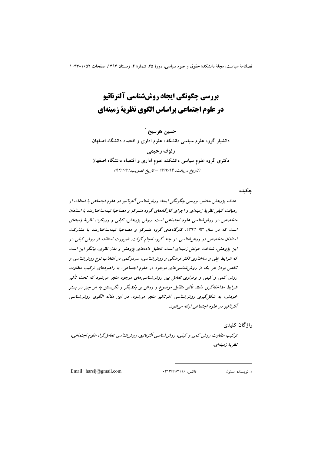# بررسی چگونگی ایجاد روششناسی آلترناتیو در علوم اجتماعي براساس الگوي نظرية زمينهاي

حسين هرسيج ' دانشیار گروه علوم سیاسی دانشکده علوم اداری و اقتصاد دانشگاه اصفهان رئوف رحيمي دکتری گروه علوم سیاسی دانشکده علوم اداری و اقتصاد دانشگاه اصفهان (تاريخ دريافت: ٩٣/٧/١۴ - تاريخ تصويب:٩۴/٢/٢)

جكبده

هدف پژوهش حاضر، بررسی چگونگی ایجاد روشرشناسی آلترنانیو در علوم اجتماعی با استفاده از رهیافت کیفی نظریهٔ زمینهای و اجرای کارگاههای گروه متمرکز و مصاحبهٔ نیمهساختارمند با استادان متخصص در روش شناسی علوم اجتماعی است. روش پژوهش، کیفی و رویکرد، نظریهٔ زمینهای است که در سال ۹۳-۱۳۹۲، کارگاههای گروه متمرکز و مصاحبهٔ نیمهساختارمند با مشارکت استادان متخصص در روش شناسی در چند گروه انجام گرفت. ضرورت استفاده از روش کیفی در این پژوهش، شناخت عوامل زمینهای است. تحلیل دادههای پژوهش و مدل نظری، بیانگر این است که شرایط علی و ساختاری تکثر فرهنگی و روش شناسی، سردرگمی در انتخاب نوع روش شناسی و ناقص بودن مر یک از روش شناسی های موجود در علوم اجتماعی، به راهبردهای ترکیب متفاوت روش کمی و کیفی و برقراری تعامل بین روش شناسی های موجود منجر می شود که تحت تأثیر شرایط مداخلهگری مانند تأثیر متقابل موضوع و روش بر یکدیگر و نگریستن به هر چیز در بستر خودش، به شکل گیری روش شناسی آلترناتیو منجر می شود. در این مقاله الگوی روش شناسی آلترناتيو در علوم اجتماعي ارائه مي شود.

وإژگان كليدى

ترکیب متفاوت روش کمپی و کیفی، روش شناسی اَلترناتیو، روش شناسی تعامل گرا، علوم اجتماعی، نظرية زمينهاي.

Email:  $harsij@gmail.com$ 

فاكس: ١٣١٣۶۶٨٣١١۶.

۱. نویسنده مسئول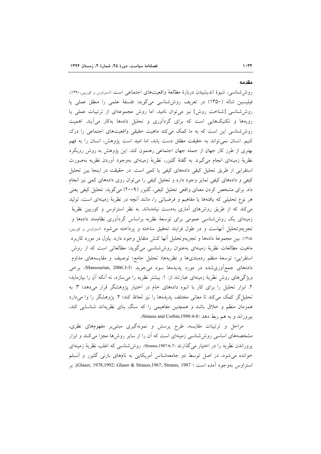مقدمه

روششناسی، شیوهٔ اندیشیدن دربارهٔ مطالعهٔ واقعیتهای اجتماعی است (استراوس و کوربین،۱۳۹۰). فیلیسین شاله (۱۳۵۰) در تعریف روششناسی میگوید: فلسفهٔ علمی را منطق عملی یا روششناسی [شناخت روش] نیز میتوان نامید. اما روش مجموعهای از ترتیبات عملی یا رویهها و تکنیکهایی است که برای گردآوری و تحلیل دادهها بهکار می آیند. اهمیت روششناسی این است که به ما کمک میکند ماهیت حقیقی واقعیتهای اجتماعی را درک كنيم. انسان نمي تواند به حقيقت مطلق دست يابد، اما اميد است يژوهش، انسان را به فهم بهتری از طرز کار جهان از جمله جهان اجتماعی رهنمون کند. این پژوهش به روش رویکرد نظریهٔ زمینهای انجام میگیرد. به گفتهٔ گلیزر، نظریهٔ زمینهای بهوجود آوردن نظریه بهصورت استقرایی از طریق تحلیل کیفی دادههای کیفی یا کمی است. در حقیقت در اینجا بین تحلیل کیفی و دادههای کیفی تمایز وجود دارد و تحلیل کیفی را میتوان روی دادههای کمی نیز انجام داد. برای مشخص کردن معنای واقعی تحلیل کیفی، گلیزر (۲۰۰۹) میگوید: تحلیل کیفی یعنی هر نوع تحلیلی که یافتهها یا مفاهیم و فرضیاتی را، مانند آنچه در نظریهٔ زمینهای است، تولید می کند که از طریق روشهای آماری بهدست نیامدهاند. به نظر استراوس و کوربین نظریهٔ زمینهای یک روششناسی عمومی برای توسعهٔ نظریه براساس گردآوری نظامهند دادهها و تجزیهوتحلیل آنهاست و در طول فرایند تحقیق ساخته و پرداخته می شود (استراوس و کوربین، ۱۳۸۵). بین مجموعهٔ دادهها و تجزیهوتحلیل آنها کنش متقابل وجود دارد. پاول در مورد کاربرد ماهیت مطالعات نظریهٔ زمینهای بهعنوان روششناسی میگوید: مطالعاتی است که از روش استقرایی؛ توسعهٔ منظم ردهبندیها و نظریهها؛ تحلیل جامع؛ توصیف و مقایسههای مداوم دادههای جمع آوریشده در مورد پدیدهها سود می جوید (Mansourian, 2006:3-5). برخی ویژگیهای روش نظریهٔ زمینهای عبارتند از: ۱. بیشتر نظریه را می سازد، نه آنکه آن را بیازماید؛ ۲. ابزار تحلیل را برای کار با انبوه دادههای خام در اختیار پژوهشگر قرار میدهد؛ ۳. به تحلیل گر کمک میکند تا معانی مختلف پدیدهها را نیز لحاظ کند؛ ۴. پژوهشگر را وا میدارد همزمان منظم و خلاق باشد و همچنین مفاهیمی را که سنگ بنای نظریهاند شناسایی کند، بيروراند و به هم ربط دهد (Strauss and Corbin,1998:4-8).

مراحل و ترتیبات مقایسه، طرح پرسش و نمونهگیری مبتنی بر مفهومهای نظری، مشخصههای اساسی روش شناسی زمینهای است که آن را از سایر روشها مجزا میکنند و ابزار يروراندن نظريه را در اختيار مي گذارند (Strauss,1987:6-7). روششناسي كه اغلب نظرية زمينهاي خوانده میشود، در اصل توسط دو جامعهشناس أمریکایی به نامهای بارنی گلیزر و أنسِلم استراوس بهوجود آمده است ( Glaser, 1978,1992; Glaser & Strauss,1967; Strauss, 1987). بر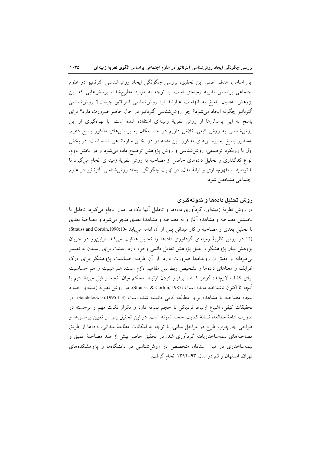این اساس، هدف اصلی این تحقیق، بررسی چگونگی ایجاد روششناسی آلترناتیو در علوم اجتماعی براساس نظریهٔ زمینهای است. با توجه به موارد مطرحشده، پرسشهایی که این پژوهش بهدنبال پاسخ به أنهاست عبارتند از: روششناسی ألترناتیو چیست؟ روششناسی الترناتيو چگونه ايجاد مى شود؟ چرا روش شناسى الترناتيو در حال حاضر ضرورت دارد؟ براى پاسخ به این پرسشها از روش نظریهٔ زمینهای استفاده شده است. با بهرهگیری از این روششناسی به روش کیفی، تلاش داریم در حد امکان به پرسشهای مذکور پاسخ دهیم. بهمنظور پاسخ به پرسشهای مذکور، این مقاله در دو بخش سازماندهی شده است: در بخش اول با رویکرد توصیفی، روششناسی و روش پژوهش توضیح داده میشود و در بخش دوم، انواع کدگذاری و تحلیل دادههای حاصل از مصاحبه به روش نظریهٔ زمینهای انجام می گیرد تا با توصیف، مفهومسازی و ارائهٔ مدل، در نهایت چگونگی ایجاد روششناسی الترناتیو در علوم اجتماعی مشخص شود.

# روش تحليل دادهما و نمونهگيري

در روش نظریهٔ زمینهای، گردآوری دادهها و تحلیل آنها یک در میان انجام میگیرد. تحلیل با نخستین مصاحبه و مشاهده أغاز و به مصاحبه و مشاهدهٔ بعدی منجر میشود و مصاحبهٔ بعدی با تحلیل بعدی و مصاحبه و کار میدانی پس از آن ادامه می یابد -10:Gtrauss and Corbin,1990.10) (12 در روش نظریهٔ زمینهای گردآوری دادهها را تحلیل هدایت میکند. ازاین رو در جریان پژوهش میان پژوهشگر و عمل پژوهش تعامل دائمی وجود دارد. عینیت برای رسیدن به تفسیر بی طرفانه و دقیق از رویدادها ضرورت دارد. از آن طرف حساسیت پژوهشگر برای درک ظرایف و معناهای دادهها و تشخیص ربط بین مفاهیم لازم است. هم عینیت و هم حساسیت برای کشف لازماند؛ گوهر کشف برقرار کردن ارتباط محکم میان آنچه از قبل میدانستیم با آنچه تا اکنون ناشناخته مانده است (Strauss, & Corbin, 1987). در روش نظرية زمينهاى حدود پنجاه مصاحبه یا مشاهده برای مطالعه کافی دانسته شده است (3-1:Sandeloswski,1995). در تحقیقات کیفی، اشباع ارتباط نزدیکی با حجم نمونه دارد و تکرار نکات مهم و برجسته در صورت ادامهٔ مطالعه، نشانهٔ کفایت حجم نمونه است. در این تحقیق پس از تعیین پرسشها و طراحی چارچوب طرح در مراحل میانی، با توجه به امکانات مطالعهٔ میدانی، دادهها از طریق مصاحبههای نیمهساختاریافته گردآوری شد. در تحقیق حاضر بیش از صد مصاحبهٔ عمیق و نیمهساختاری در میان استادان متخصص در روششناسی در دانشگاهها و پژوهشکدههای تهران، اصفهان و قم در سال ۹۳-۱۳۹۲ انجام گرفت.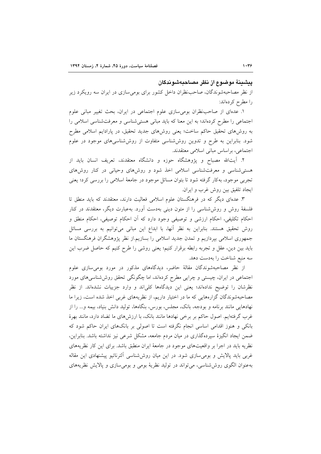#### ينشننة موضوع از نظر مصاحبهشوندگان

از نظر مصاحبهشوندگان، صاحبنظران داخل کشور برای بومیسازی در ایران سه رویکرد زیر را مطرح كردهاند:

۱. عدمای از صاحب نظران بومی سازی علوم اجتماعی در ایران، بحث تغییر مبانی علوم اجتماعی را مطرح کردهاند؛ به این معنا که باید مبانی هستی شناسی و معرفتشناسی اسلامی را به روشهای تحقیق حاکم ساخت؛ یعنی روشهای جدید تحقیق، در پارادایم اسلامی مطرح شود. بنابراین به طرح و تدوین روششناسی متفاوت از روششناسیهای موجود در علوم اجتماعی، براساس مبانی اسلامی معتقدند.

۲. آیتالله مصباح و پژوهشگاه حوزه و دانشگاه معتقدند، تعریف انسان باید از هستی شناسی و معرفت شناسی اسلامی اخذ شود و روش۵ای وحیانی در کنار روشهای تجربی موجود، بهکار گرفته شود تا بتوان مسائل موجود در جامعهٔ اسلامی را بررسی کرد؛ یعنی ايجاد تلفيق بين روش غرب و ايران.

۳. عدهای دیگر که در فرهنگستان علوم اسلامی فعالیت دارند، معتقدند که باید منطق تا فلسفهٔ روش و روششناسی را از متون دینی بهدست آورد. بهعبارت دیگر، معتقدند در کنار احکام تکلیفی، احکام ارزشی و توصیفی وجود دارد که آن احکام توصیفی، احکام منطق و روش تحقیق هستند. بنابراین به نظر آنها، با ابداع این مبانی میتوانیم به بررسی مسائل جمهوری اسلامی بیردازیم و تمدن جدید اسلامی را بسازیم.از نظر پژوهشگران فرهنگستان ما باید بین دین، عقل و تجربه رابطه برقرار کنیم؛ یعنی روشی را طرح کنیم که حاصل ضرب این سه منبع شناخت را بهدست دهد.

از نظر مصاحبهشوندگان مقالهٔ حاضر، دیدگاههای مذکور در مورد بومیسازی علوم اجتماعی در ایران، چیستی و چرایی مطرح کردهاند، اما چگونگی تحقق روششناسیهای مورد نظرشان را توضیح ندادهاند؛ یعنی این دیدگاهها کلی!ند و وارد جزییات نشدهاند. از نظر مصاحبهشوندگان گزارههایی که ما در اختیار داریم، از نظریههای غربی اخذ شده است، زیرا ما نهادهایی مانند برنامه و بودجه، بانک، مجلس، بورس، بنگاهها، تولید دانش بنیاد، بیمه و… را از غرب گرفتهایم. اصول حاکم بر برخی نهادها مانند بانک، با ارزش۵ای ما تضاد دارد، مانند بهرهٔ بانکی و هنوز اقدامی اساسی انجام نگرفته است تا اصولی بر بانکهای ایران حاکم شود که ضمن ایجاد انگیزهٔ سپردهگذاری در میان مردم جامعه، مشکل شرعی نیز نداشته باشد. بنابراین، نظریه باید در اجرا بر واقعیتهای موجود در جامعهٔ ایران منطبق باشد. برای این کار نظریههای غربی باید پالایش و بومی سازی شود. در این میان روششناسی الترناتیو پیشنهادی این مقاله بهعنوان الگوی روش شناسی، می تواند در تولید نظریهٔ بومی و بومی سازی و پالایش نظریههای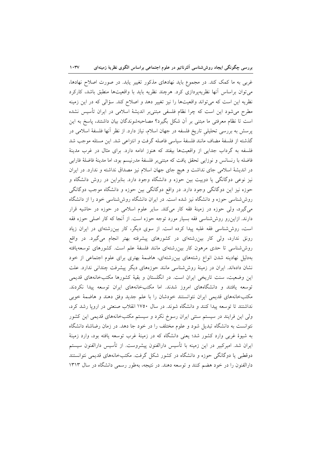غربی به ما کمک کند. در مجموع باید نهادهای مذکور تغییر یابد. در صورت اصلاح نهادها، می توان براساس آنها نظریهپردازی کرد. هرچند نظریه باید با واقعیتها منطبق باشد، کارکرد نظریه این است که میتواند واقعیتها را نیز تغییر دهد و اصلاح کند. سؤالی که در این زمینه مطرح میشود این است که چرا نظام فلسفی مبتنیبر اندیشهٔ اسلامی در ایران تأسیس نشده است تا نظام معرفتی ما مبتنی بر آن شکل بگیرد؟ مصاحبهشوندگان بیان داشتند، پاسخ به این پرسش به بررسی تحلیلی تاریخ فلسفه در جهان اسلام، نیاز دارد. از نظر آنها فلسفهٔ اسلامی در گذشته از فلسفهٔ مضاف مانند فلسفهٔ سیاسی فاصله گرفت و انتزاعی شد. این مسئله موجب شد فلسفه به گرداب جدایی از واقعیتها بیفتد که هنوز ادامه دارد. برای مثال در غرب مدینهٔ فاضله با رنسانس و نوزایی تحقق یافت که مبتنی بر فلسفهٔ مدرنیسم بود، اما مدینهٔ فاضلهٔ فارابی در اندیشهٔ اسلامی جای نداشت و هیچ جای جهان اسلام نیز مصداق نداشته و ندارد. در ایران نیز نوعی دوگانگی یا دوییت بین حوزه و دانشگاه وجود دارد. بنابراین در روش دانشگاه و حوزه نیز این دوگانگی وجود دارد. در واقع دوگانگی بین حوزه و دانشگاه موجب دوگانگی روششناسی حوزه و دانشگاه نیز شده است. در ایران دانشگاه روششناسی خود را از دانشگاه می گیرد، ولی حوزه در زمینهٔ فقه کار میکند. سایر علوم اسلامی در حوزه در حاشیه قرار دارند. ازاین٫رو روششناسی فقه بسیار مورد توجه حوزه است. از آنجا که کار اصلی حوزه فقه است، روششناسی فقه غلبه پیدا کرده است. از سوی دیگر، کار بین رشتهای در ایران زیاد رونق ندارد، ولی کار بین رشتهای در کشورهای پیشرفته بهتر انجام میگیرد. در واقع روششناسی تا حدی مرهون کار بین٫شتهای مانند فلسفهٔ علم است. کشورهای توسعهیافته بهدلیل نهادینه شدن انواع رشتههای بینررشتهای، هاضمهٔ بهتری برای علوم اجتماعی از خود نشان دادهاند. ایران در زمینهٔ روششناسی مانند حوزههای دیگر پیشرفت چندانی ندارد. علت این وضعیت، سنت تاریخی ایران است. در انگلستان و بقیهٔ کشورها مکتبخانههای قدیمی توسعه یافتند و دانشگاههای امروز شدند. اما مکتبخانههای ایران توسعه پیدا نکردند. مکتبخانههای قدیمی ایران نتوانستند خودشان را با علم جدید وفق دهند و هاضمهٔ خوبی نداشتند تا توسعه پیدا کنند و دانشگاه شوند. در سال ۱۷۵۰ انقلاب صنعتی در اروپا رشد کرد، ولی این فرایند در سیستم سنتی ایران رسوخ نکرد و سیستم مکتبخانههای قدیمی این کشور نتوانست به دانشگاه تبدیل شود و علوم مختلف را در خود جا دهد. در زمان رضاشاه دانشگاه به شیوهٔ غربی وارد کشور شد؛ یعنی دانشگاه که در زمینهٔ غرب توسعه یافته بود، وارد زمینهٔ ایران شد. امیرکبیر در این زمینه با تأسیس دارالفنون پیشروست. از تأسیس دارالفنون سیستم دوقطبی یا دوگانگی حوزه و دانشگاه در کشور شکل گرفت. مکتبخانههای قدیمی نتوانستند دارالفنون را در خود هضم کنند و توسعه دهند. در نتیجه، بهطور رسمی دانشگاه در سال ۱۳۱۳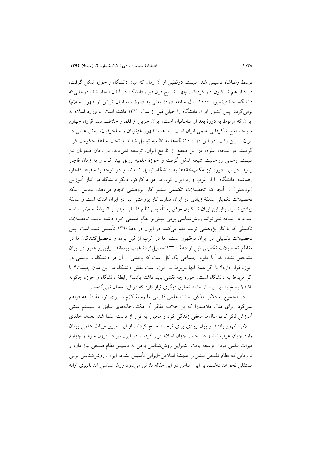توسط رضاشاه تأسیس شد. سیستم دوقطبی از آن زمان که میان دانشگاه و حوزه شکل گرفت، در کنار هم تا اکنون کار کردهاند. چهار تا پنج قرن قبل، دانشگاه در لندن ایجاد شد، درحالی که دانشگاه جندیشاپور ۲۰۰۰ سال سابقه دارد؛ یعنی به دورهٔ ساسانیان (پیش از ظهور اسلام) برمیگردد. پس کشور ایران دانشگاه را خیلی قبل از سال ۱۳۱۳ داشته است. با ورود اسلام به ایران که مربوط به دورهٔ بعد از ساسانیان است، ایران جزیی از قلمرو خلافت شد. قرون چهارم و پنجم اوج شکوفایی علمی ایران است. بعدها با ظهور غزنویان و سلجوقیان، رونق علمی در ایران از بین رفت. در این دوره دانشگاهها به نظامیه تبدیل شدند و تحت سلطهٔ حکومت قرار گرفتند. در نتیجه، علوم، در این مقطع از تاریخ ایران، توسعه نمی،یابد. در زمان صفویان نیز سیستم رسمی روحانیت شیعه شکل گرفت و حوزهٔ علمیه رونق پیدا کرد و به زمان قاجار رسید. در این دوره نیز مکتبخانهها به دانشگاه تبدیل نشدند و در نتیجه با سقوط قاجار، رضاشاه، دانشگاه را از غرب وارد ایران کرد. در مورد کارکرد دیگر دانشگاه در کنار آموزش (پژوهش) از أنجا كه تحصيلات تكميلي بيشتر كار پژوهشي انجام مىدهد، بەدليل اينكه تحصیلات تکمیلی سابقهٔ زیادی در ایران ندارد، کار پژوهشی نیز در ایران اندک است و سابقهٔ زیادی ندارد. بنابراین ایران تا اکنون موفق به تأسیس نظام فلسفی مبتنی,بر اندیشهٔ اسلامی نشده است. در نتیجه نمی تواند روششناسی بومی مبتنی بر نظام فلسفی خود داشته باشد. تحصیلات تکمیلی که با کار پژوهشی تولید علم میکند، در ایران در دههٔ ۱۳٦۰ تأسیس شده است. پس تحصیلات تکمیلی در ایران نوظهور است، اما در غرب از قبل بوده و تحصیل کنندگان ما در مقاطع تحصیلات تکمیلی قبل از دههٔ ۱۳٦۰تحصیل کردهٔ غرب بودهاند. ازاین رو هنوز در ایران مشخص نشده که آیا علوم اجتماعی یک کل است که بخشی از آن در دانشگاه و بخشی در حوزه قرار دارد؟ یا اگر همهٔ آنها مربوط به حوزه است نقش دانشگاه در این میان چیست؟ یا اگر مربوط به دانشگاه است، حوزه چه نقشی باید داشته باشد؟ رابطهٔ دانشگاه و حوزه چگونه باشد؟ پاسخ به این پرسشها به تحقیق دیگری نیاز دارد که در این مجال نمی گنجد.

در مجموع به دلایل مذکور سنت علمی قدیمی ما زمینهٔ لازم را برای توسعهٔ فلسفه فراهم نمی کرد. برای مثال ملاصدرا که بر خلاف تفکر آن مکتبخانههای سابق یا سیستم سنتی آموزش فکر کرد، سالها مخفی زندگی کرد و مجبور به فرار از دست علما شد. بعدها خلفای اسلامی ظهور یافتند و پول زیادی برای ترجمه خرج کردند. از این طریق میراث علمی یونان وارد جهان عرب شد و در اختیار جهان اسلام قرار گرفت. در ایرن نیز در قرون سوم و چهارم میراث علمی یونان توسعه یافت. بنابراین روششناسی بومی به تأسیس نظام فلسفی نیاز دارد و تا زمانی که نظام فلسفی مبتنی بر اندیشهٔ اسلامی–ایرانی تأسیس نشود، ایران، روششناسی بومی مستقلَّی نخواهد داشت. بر این اساس در این مقاله تلاش میشود روششناسی آلترناتیوی ارائه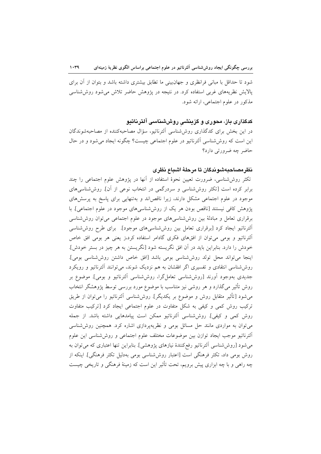شود تا حداقل با مبانی فرانظری و جهانبینی ما تطابق بیشتری داشته باشد و بتوان از آن برای پالایش نظریههای غربی استفاده کرد. در نتیجه در پژوهش حاضر تلاش می شود روش شناسی مذکور در علوم اجتماعی، ارائه شود.

# کدگذاری باز، محوری و گزینشی روششناسی آلترناتیو

در این بخش برای کدگذاری روششناسی آلترناتیو، سؤال مصاحبهکننده از مصاحبهشوندگان این است که روششناسی آلترناتیو در علوم اجتماعی چیست؟ چگونه ایجاد می شود و در حال حاضر چه ضرورتی دارد؟

## نظرمصاحبهشوندگان تا مرحلهٔ اشباع نظرى

تکثر روششناسی، ضرورت تعیین نحوهٔ استفاده از اَنها در پژوهش علوم اجتماعی را چند برابر کرده است [تکثر روششناسی و سردرگمی در انتخاب نوعی از آن]. روششناسیهای موجود در علوم اجتماعی مشکل دارند، زیرا ناقصاند و بهتنهایی برای پاسخ به پرسشهای پژوهش کافی نیستند [ناقص بودن هر یک از روششناسیهای موجود در علوم اجتماعی]. با برقراری تعامل و مبادلهٔ بین روششناسیهای موجود در علوم اجتماعی میتوان روششناسی الترناتيو ايجاد كرد [برقرارى تعامل بين روششناسي هاى موجود]. براى طرح روششناسى الترناتيو و بومي مي توان از افقهاي فكرى گادامر استفاده كرد،ز يعني هر بومي افق خاص خودش را دارد. بنابراین باید در آن افق نگریسته شود [نگریستن به هر چیز در بستر خودش]. اينجا مي تواند محل تولد روش شناسي بومي باشد [افق خاص داشتن روش شناسي بومي]. روش شناسی انتقادی و تفسیری اگر افقشان به هم نزدیک شوند، میتوانند آلترناتیو و رویکرد جدیدی بهوجود اَورند [روششناسی تعاملگرا، روششناسی اَلترناتیو و بومی]. موضوع بر روش تأثیر میگذارد و هر روشی نیز متناسب با موضوع مورد بررسی توسط پژوهشگر انتخاب میشود [تأثیر متقابل روش و موضوع بر یکدیگر]. روششناسی اَلترناتیو را میٍتوان از طریق ترکیب روش کمی و کیفی به شکل متفاوت در علوم اجتماعی ایجاد کرد [ترکیب متفاوت روش كمي و كيفي]. روششناسي الترناتيو ممكن است پيامدهايي داشته باشد. از جمله می توان به مواردی مانند حل مسائل بومی و نظریهپردازی اشاره کرد. همچنین روششناسی آلترناتيو موجب ايجاد توازن بين موضوعات مختلف علوم اجتماعي و روششناسي اين علوم می شود [روش شناسی اَلترناتیو رفع کنندهٔ نیازهای پژوهشی]. بنابراین تنها اعتباری که می توان به روش بومی داد، تکثر فرهنگی است [اعتبار روششناسی بومی بهدلیل تکثر فرهنگی]. اینکه از چه راهی و با چه ابزاری پیش برویم، تحت تأثیر این است که زمینهٔ فرهنگی و تاریخی چیست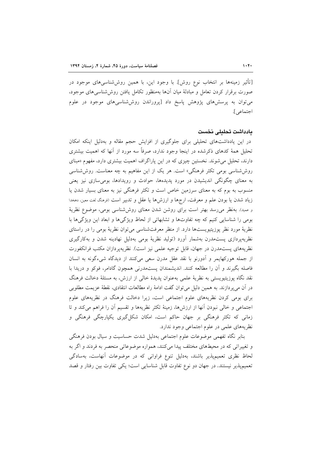[تأثیر زمینهها بر انتخاب نوع روش]. با وجود این، با همین روششناسیهای موجود در صورت برقرار کردن تعامل و مبادلهٔ میان أنها بهمنظور تکامل یافتن روششناسی های موجود، می توان به پرسش های پژوهش پاسخ داد [پروراندن روششناسی های موجود در علوم اجتماعي].

#### يادداشت تحليلى نخست

در این یادداشتهای تحلیلی برای جلوگیری از افزایش حجم مقاله و بهدلیل اینکه امکان تحلیل همهٔ کدهای ذکرشده در اینجا وجود ندارد، صرفاً سه مورد از آنها که اهمیت بیشتری دارند، تحلیل می شوند. نخستین چیزی که در این پاراگراف اهمیت بیشتری دارد، مفهوم «مبنای روششناسی بومی تکثر فرهنگی» است. هر یک از این مفاهیم به چه معناست. روششناسی به معنای چگونگی اندیشیدن در مورد پدیدهها، حوادث و رویدادها، بومی سازی نیز یعنی منسوب به بوم که به معنای سرزمین خاص است و تکثر فرهنگی نیز به معنای بسیار شدن یا زياد شدن يا بودن علم و معرفت، ارجها و ارزشها يا عقل و تدبير است (فرهنگ لغت معين، دمخدا و عمید). بهنظر می رسد بهتر است برای روشن شدن معنای روششناسی بومی، موضوع نظریهٔ بومی را شناسایی کنیم که چه تفاوتها و تشابهاتی از لحاظ ویژگیها و ابعاد این ویژگیها با نظرية مورد نظر پوزيتيويستها دارد. از منظر معرفتشناسي مي توان نظرية بومي را در راستاي نظریهپردازی پستمدرن بهشمار آورد (تولید نظریهٔ بومی بهدلیل نهادینه شدن و بهکارگیری نظريههاي پستمدرن در جهان، قابل توجيه علمي نيز است). نظريهپردازان مكتب فرانكفورت از جمله هوركهايمر و آدورنو با نقد عقل مدرن سعى مىكنند از ديدگاه شىءگونه به انسان فاصله بگیرند و آن را مطالعه کنند. اندیشمندان یستمدرنی همچون گادامر، فوکو و دریدا با نقد نگاه پوزیتیویستی به نظریهٔ علمی بهعنوان پدیدهٔ خالی از ارزش، به مسئلهٔ دخالت فرهنگ در آن میپردازند. به همین دلیل میتوان گفت ادامهٔ راه مطالعات انتقادی، نقطهٔ عزیمت مطلوبی برای بومی کردن نظریههای علوم اجتماعی است، زیرا دخالت فرهنگ در نظریههای علوم اجتماعی و خالی نبودن آنها از ارزشها، زمینهٔ تکثر نظریهها و تقسیم آن را فراهم میکند و تا زمانی که تکثر فرهنگی بر جهان حاکم است، امکان شکل گیری یکپارچگی فرهنگی و نظريههاي علمي در علوم اجتماعي وجود ندارد.

بنابر نگاه تفهمي موضوعات علوم اجتماعي بهدليل شدت حساسيت و سيال بودن فرهنگي و تغییراتی که در محیطهای مختلف پیدا می کنند، همواره موضوعاتی منحصر به فردند و اگر به لحاظ نظری تعمیمپذیر باشند، بهدلیل تنوع فراوانی که در موضوعات آنهاست، بهسادگی تعمیمپذیر نیستند. در جهان دو نوع تفاوت قابل شناسایی است؛ یکی تفاوت بین رفتار و قصد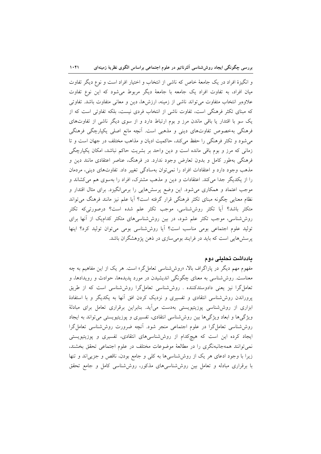و انگیزهٔ افراد در یک جامعهٔ خاص که ناشی از انتخاب و اختیار افراد است و نوع دیگر تفاوت میان افراد، به تفاوت افراد یک جامعه با جامعهٔ دیگر مربوط می شود که این نوع تفاوت علاوهبر انتخاب متفاوت می تواند ناشی از زمینه، ارزشها، دین و معانی متفاوت باشد. تفاوتی که مبنای تکثر فرهنگی است، تفاوت ناشی از انتخاب فردی نیست، بلکه تفاوتی است که از یک سو با اقتدار یا باقی ماندن مرز و بوم ارتباط دارد و از سوی دیگر ناشی از تفاوتهای فرهنگی بهخصوص تفاوتهای دینی و مذهبی است. آنچه مانع اصلی یکپارچگی فرهنگی می شود و تکثر فرهنگی را حفظ می کند، حاکمیت ادیان و مذاهب مختلف در جهان است و تا زمانی که مرز و بوم باقی مانده است و دین واحد بر بشریت حاکم نباشد، امکان یکپارچگی فرهنگی بهطور کامل و بدون تعارض وجود ندارد. در فرهنگ، عناصر اعتقادی مانند دین و مذهب وجود دارد و اعتقادات افراد را نمی توان بهسادگی تغییر داد. تفاوتهای دینی، مردمان را از یکدیگر جدا میکند. اعتقادات و دین و مذهب مشترک، افراد را بهسوی هم میکشاند و موجب اعتماد و همکاری میشود. این وضع پرسش۵ایی را برمیانگیزد. برای مثال اقتدار و نظام معنایی چگونه مبنای تکثر فرهنگی قرار گرفته است؟ آیا علم نیز مانند فرهنگ میتواند متکثر باشد؟ آیا تکثر روششناسی، موجب تکثر علم شده است؟ درصورتیکه تکثر روششناسی، موجب تکثر علم شود، در بین روششناسیهای متکثر کدامیک از آنها برای تولید علوم اجتماعی بومی مناسب است؟ آیا روششناسی بومی میتوان تولید کرد؟ اینها پرسشهایی است که باید در فرایند بومیسازی در ذهن پژوهشگران باشد.

## يادداشت تحليلى دوم

مفهوم مهم دیگر در پاراگراف بالا، «روششناسی تعامل گر» است. هر یک از این مفاهیم به چه معناست. روششناسی به معنای چگونگی اندیشیدن در مورد پدیدهها، حوادث و رویدادها، و تعامل گرا نیز یعنی دادوستدکننده . روششناسی تعامل گرا روششناسی است که از طریق پروراندن روششناسی انتقادی و تفسیری و نزدیک کردن افق آنها به یکدیگر و با استفادهٔ ابزاری از روششناسی پوزیتیویستی بهدست میآید. بنابراین برقراری تعامل برای مبادلهٔ ویژگیها و ابعاد ویژگیها بین روششناسی انتقادی، تفسیری و پوزیتیویستی میتواند به ایجاد روششناسی تعامل گرا در علوم اجتماعی منجر شود. أنچه ضرورت روششناسی تعامل گرا ایجاد کرده این است که هیچکدام از روششناسیهای انتقادی، تفسیری و پوزیتیویستی نمي توانند همهجانبهنگري را در مطالعهٔ موضوعات مختلف در علوم اجتماعي تحقق بخشند، زیرا با وجود ادعای هر یک از روششناسهها به کلی و جامع بودن، ناقص و جزیهاند و تنها با برقراری مبادله و تعامل بین روششناسیهای مذکور، روششناسی کامل و جامع تحقق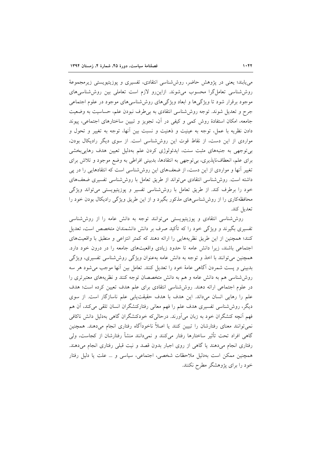می،یابند؛ یعنی در پژوهش حاضر، روششناسی انتقادی، تفسیری و پوزیتیویستی زیرمجموعهٔ روش شناسی تعامل گرا محسوب می شوند. ازاین رو لازم است تعاملی بین روش شناسی های موجود برقرار شود تا ویژگیها و ابعاد ویژگیهای روششناسیهای موجود در علوم اجتماعی جرح و تعدیل شوند. توجه روششناسی انتقادی به بی طرف نبودن علم، حساسیت به وضعیت جامعه، امکان استفادهٔ روش کمی و کیفی در آن، تجویز و تبیین ساختارهای اجتماعی، پیوند دادن نظریه با عمل، توجه به عینیت و ذهنیت و نسبت بین آنها، توجه به تغییر و تحول و مواردی از این دست، از نقاط قوت این روششناسی است. از سوی دیگر رادیکال بودن، بی توجهی به جنبههای مثبت سنت، ایدئولوژی کردن علم بهدلیل تعیین هدف رهایی بخشی برای علم، انعطافناپذیری، بی توجهی به انتقادها، بدبینی افراطی به وضع موجود و تلاش برای تغییر آنها و مواردی از این دست، از ضعفهای این روششناسی است که انتقادهایی را در پی داشته است. روششناسی انتقادی می تواند از طریق تعامل با روش شناسی تفسیری ضعفهای خود را برطرف کند. از طریق تعامل با روششناسی تفسیر و پوزیتیویستی میتواند ویژگی محافظهکاری را از روششناسیهای مذکور بگیرد و از این طریق ویژگی رادیکال بودن خود را تعديل كند.

روششاسی انتقادی و پوزیتیویستی می توانند توجه به دانش عامه را از روششناسی تفسیری بگیرند و ویژگی خود را که تأکید صرف بر دانش دانشمندان متخصص است، تعدیل كنند؛ همچنین از این طریق نظریههایی را ارائه دهند كه كمتر انتزاعی و منطبق با واقعیتهای اجتماعی باشند، زیرا دانش عامه تا حدود زیادی واقعیتهای جامعه را در درون خود دارد. همچنین می توانند با اخذ و توجه به دانش عامه بهعنوان ویژگی روششناسی تفسیری، ویژگی بدبینی و پست شمردن آگاهی عامهٔ خود را تعدیل کنند. تعامل بین أنها موجب میشود هر سه روششناسی هم به دانش عامه و هم به دانش متخصصان توجه کنند و نظریههای معتبرتری را در علوم اجتماعی ارائه دهند. روششناسی انتقادی برای علم هدف تعیین کرده است؛ هدف علم را رهایی انسان میداند. این هدف با هدف حقیقتیابی علم ناسازگار است. از سوی دیگر، روششناسی تفسیری هدف علم را فهم معانی رفتارکنشگران انسان تلقی میکند، آن هم فهم آنچه کنشگران خود به زبان می آورند. درحالی که خودکنشگران گاهی بهدلیل دانش ناکافی نمی توانند معنای رفتارشان را تبیین کنند یا اصلاً ناخودآگاه رفتاری انجام میدهند. همچنین گاهی افراد تحت تأثیر ساختارها رفتار میکنند و نمیدانند منشأ رفتارشان از کجاست، ولی رفتاری انجام میدهند یا گاهی از روی اجبار بدون قصد و نیت قبلی رفتاری انجام میدهند. همچنین ممکن است بهدلیل ملاحظات شخصی، اجتماعی، سیاسی و … علت یا دلیل رفتار خود را برای پژوهشگر مطرح نکنند.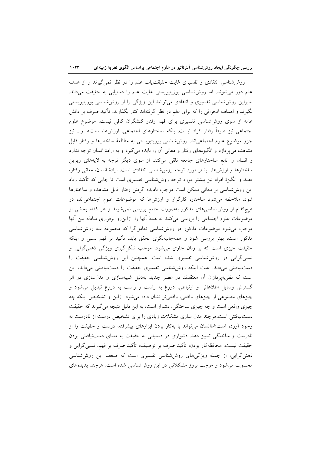روششناسی انتقادی و تفسیری غایت حقیقتیاب علم را در نظر نمیگیرند و از هدف علم دور میشوند، اما روششناسی پوزیتیویستی غایت علم را دستیابی به حقیقت میداند. بنابراین روششناسی تفسیری و انتقادی میتوانند این ویژگی را از روششناسی پوزیتیویستی بگیرند و اهداف انحرافی را که برای علم در نظر گرفتهاند کنار بگذارند. تأکید صرف بر دانش عامه از سوی روششناسی تفسیری برای فهم رفتار کنشگران کافی نیست. موضوع علوم اجتماعی نیز صرفاً رفتار افراد نیست، بلکه ساختارهای اجتماعی، ارزشها، سنتها و… نیز جزو موضوع علوم اجتماعیاند. روششناسی پوزیتیویستی به مطالعهٔ ساختارها و رفتار قابل مشاهده می پردازد و انگیزههای رفتار و معانی آن را نایده می گیرد و به ارادهٔ انسان توجه ندارد و انسان را تابع ساختارهای جامعه تلقی میکند. از سوی دیگر توجه به لایههای زیرین ساختارها و ارزشها، بیشتر مورد توجه روششناسی انتقادی است. ارادهٔ انسان، معانی رفتار، قصد و انگیزهٔ افراد نیز بیشتر مورد توجه روششناسی تفسیری است تا جایی که تأکید زیاد این روششناسی بر معانی ممکن است موجب نادیده گرفتن رفتار قابل مشاهده و ساختارها شود. ملاحظه می شود ساختار، کارگزار و ارزشها که موضوعات علوم اجتماعی اند، در هیچکدام از روششناسیهای مذکور بهصورت جامع بررسی نمیشوند و هر کدام بخشی از موضوعات علوم اجتماعی را بررسی میکنند نه همهٔ آنها را. ازاینرو برقراری مبادله بین آنها موجب می شود موضوعات مذکور در روش شناسی تعامل گرا که مجموعهٔ سه روش شناسی مذکور است، بهتر بررسی شود و همهجانبهنگری تحقق یابد. تأکید بر فهم نسبی و اینکه حقیقت چیزی است که بر زبان جاری میشود، موجب شکل گیری ویژگی ذهنیگرایی و نسبی گرایی در روششناسی تفسیری شده است. همچنین این روششناسی حقیقت را دستنیافتنی میداند. علت اینکه روششناسی تفسیری حقیقت را دستنیافتنی میداند، این است که نظریهپردازان آن معتقدند در عصر جدید بهدلیل شبیهسازی و مدل $\omega$ ازی در اثر گسترش وسایل اطلاعاتی و ارتباطی، دروغ به راست و راست به دروغ تبدیل می شود و چیزهای مصنوعی از چیزهای واقعی، واقعیتر نشان داده میشود. ازاینررو تشخیص اینکه چه چیزی واقعی است و چه چیزی ساختگی، دشوار است، به این دلیل نتیجه می گیرند که حقیقت دستنیافتنی است.هرچند مدل سازی مشکلات زیادی را برای تشخیص درست از نادرست به وجود آورده است:اماانسان می تواند با بهکار بردن ابزارهای پیشرفته، درست و حقیقت را از نادرست و ساختگی تمییز دهد. دشواری در دستیابی به حقیقت به معنای دستنیافتنی بودن حقيقت نيست. محافظهكار بودن، تأكيد صرف بر توصيف، تأكيد صرف بر فهم، نسبي گرايي و ذهنی گرایی، از جمله ویژگیهای روششناسی تفسیری است که ضعف این روششناسی محسوب می شود و موجب بروز مشکلاتی در این روش شناسی شده است. هرچند پدیدههای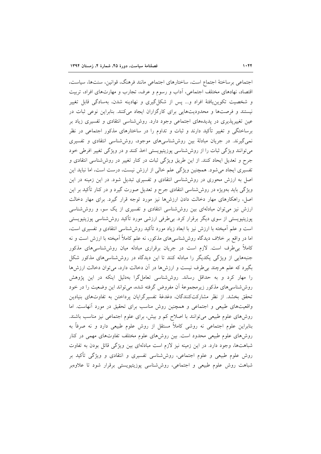اجتماعی برساختهٔ اجتماع است، ساختارهای اجتماعی مانند فرهنگ، قوانین، سنتها، سیاست، اقتصاد، نهادهای مختلف اجتماعی، اّداب و رسوم و عرف، تجارب و مهارتهای افراد، تربیت و شخصیت تکوین یافتهٔ افراد و... پس از شکل گیری و نهادینه شدن، بهسادگی قابل تغییر نیستند و فرصتها و محدودیتهایی برای کارگزاران ایجاد میکنند. بنابراین نوعی ثبات در عین تغییرپذیری در پدیدههای اجتماعی وجود دارد. روششناسی انتقادی و تفسیری زیاد بر برساختگی و تغییر تأکید دارند و ثبات و تداوم را در ساختارهای مذکور اجتماعی در نظر نمی گیرند. در جریان مبادلهٔ بین روششناسی های موجود، روششناسی انتقادی و تفسیری می توانند ویژگی ثبات را از روش شناسی پوزیتیویستی اخذ کنند و در ویژگی تغییر افرطی خود جرح و تعدیل ایحاد کنند. از این طریق ویژگی ثبات در کنار تغییر در روششناسی انتقادی و تفسیری ایجاد می شود. همچنین ویژگی علم خالی از ارزش نیست، درست است، اما نباید این اصل به ارزش محوری در روششناسی انتقادی و تفسیری تبدیل شود. در این زمینه در این ویژگی باید بهویژه در روششناسی انتقادی جرح و تعدیل صورت گیرد و در کنار تأکید بر این اصل، راهکارهای مهار دخالت دادن ارزشها نیز مورد توجه قرار گیرد. برای مهار دخالت ارزش نیز میتوان مبادلهای بین روششناسی انتقادی و تفسیری از یک سو، و روششناسی پوزیتیویستی از سوی دیگر برقرار کرد. بی طرفی ارزشی مورد تأکید روششناسی پوزیتیویستی است و علم آمیخته با ارزش نیز با ابعاد زیاد مورد تأکید روششناسی انتقادی و تفسیری است، اما در واقع بر خلاف دیدگاه روششناسیهای مذکور، نه علم کاملاً آمیخته با ارزش است و نه کاملاً بی طرف است. لازم است در جریان برقراری مبادله میان روششناسیهای مذکور جنبههایی از ویژگی یکدیگر را مبادله کنند تا این دیدگاه در روششناسیهای مذکور شکل بگیرد که علم هرچند بی طرف نیست و ارزش۵ا در آن دخالت دارد، می توان دخالت ارزش۵ا را مهار کرد و به حداقل رساند. روششناسی تعامل گرا بهدلیل اینکه در این پژوهش روششناسی های مذکور زیرمجموعهٔ آن مفروض گرفته شده، میتواند این وضعیت را در خود تحقق بخشد. از نظر مشاركت كنندگان، دغدغهٔ تفسیرگرایان پرداختن به تفاوتهای بنیادین واقعیتهای طبیعی و اجتماعی و همچنین روش مناسب برای تحقیق در مورد آنهاست. اما روشهای علوم طبیعی می توانند با اصلاح کم و بیش، برای علوم اجتماعی نیز مناسب باشند. بنابراین علوم اجتماعی نه روشی کاملاً مستقل از روش علوم طبیعی دارد و نه صرفاً به روشهای علوم طبیعی محدود است. بین روشهای علوم مختلف تفاوتهای مهمی در کنار شباهتها، وجود دارد. در این زمینه نیز لازم است مبادلهای بین ویژگی قائل بودن به تفاوت روش علوم طبیعی و علوم اجتماعی، روششناسی تفسیری و انتقادی و ویژگی تأکید بر شباهت روش علوم طبیعی و اجتماعی، روششناسی پوزیتیویستی برقرار شود تا علاوهبر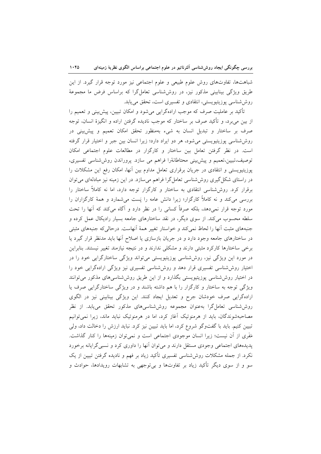شباهتها، تفاوتهای روش علوم طبیعی و علوم اجتماعی نیز مورد توجه قرار گیرد. از این طریق ویژگی بینابینی مذکور نیز، در روششناسی تعامل گرا که براساس فرض ما مجموعهٔ روششناسی پوزیتیویستی، انتقادی و تفسیری است، تحقق می یابد.

تأکید بر عاملیت صرف که موجب ارادهگرایی میشود و امکان تبیین، پیش بینی و تعمیم را از بین می برد، و تأکید صرف بر ساختار که موجب نادیده گرفتن اراده و انگیزهٔ انسان، توجه صرف بر ساختار و تبدیل انسان به شیء بهمنظور تحقق امکان تعمیم و پیش بینی در روششناسی پوزیتیویستی میشود، هر دو ایراد دارد؛ زیرا انسان بین جبر و اختیار قرار گرفته است. در نظر گرفتن تعامل بین ساختار و کارگزار در مطالعات علوم اجتماعی امکان توصیف،تبیین،تعمیم و پیش بینی محتاطانهٔرا فراهم می سازد. پروراندن روششناسی تفسیری، پوزیتیویستی و انتقادی در جریان برقراری تعامل مداوم بین آنها، امکان رفع این مشکلات را در راستای شکل گیری روش شناسی تعامل گرا فراهم می سازد. در این زمینه نیز مبادلهای می توان برقرار کرد. روششناسی انتقادی به ساختار و کارگزار توجه دارد، اما نه کاملاً ساختار را بررسی میکند و نه کاملاً کارگزار؛ زیرا دانش عامه را پَست میشمارد و همهٔ کارگزاران را مورد توجه قرار نمیدهد، بلکه صرفاً کسانی را در نظر دارد و آگاه میکند که آنها را تحت سلطه محسوب میکند. از سوی دیگر، در نقد ساختارهای جامعه بسیار رادیکال عمل کرده و جنبههای مثبت آنها را لحاظ نمی کند و خواستار تغییر همهٔ آنهاست. درحالی که جنبههای مثبتی در ساختارهای جامعه وجود دارد و در جریان بازسازی یا اصلاح آنها باید مدنظر قرار گیرد یا برخی ساختارها کارکرد مثبتی دارند و مشکلی ندارند و در نتیجه نیازمند تغییر نیستند. بنابراین در مورد این ویژگی نیز، روششناسی پوزیتیویستی میتواند ویژگی ساختارگرایی خود را در اختیار روششناسی تفسیری قرار دهد و روششناسی تفسیری نیز ویژگی ارادهگرایی خود را در اختیار روششناسی پوزیتیویستی بگذارد و از این طریق روششناسی های مذکور می توانند ویژگی توجه به ساختار و کارگزار را با هم داشته باشند و در ویژگی ساختارگرایی صرف یا ارادهگرایی صرف خودشان جرح و تعدیل ایجاد کنند. این ویژگی بینابینی نیز در الگوی روششناسی تعامل گرا بهعنوان مجموعه روششناسیهای مذکور تحقق می،یابد. از نظر مصاحبهشوندگان، باید از هرمنوتیک آغاز کرد، اما در هرمنوتیک نباید ماند، زیرا نمیتوانیم تبیین کنیم. باید با گفتوگو شروع کرد، اما باید تبیین نیز کرد. نباید ارزش را دخالت داد، ولی مَفَرى از آن نيست؛ زيرا انسان موجودى اجتماعى است و نمى توان زمينهها را كنار گذاشت. پدیدههای اجتماعی وجودی مستقل دارند و می توان آنها را داوری کرد و نسبی گرایانه برخورد نکرد. از جمله مشکلات روش،شناسی تفسیری تأکید زیاد بر فهم و نادیده گرفتن تبیین از یک سو و از سوی دیگر تأکید زیاد بر تفاوتها و بیتوجهی به تشابهات رویدادها، حوادث و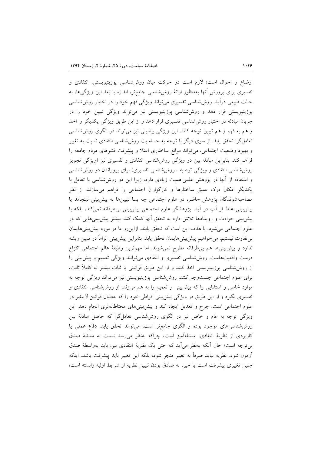اوضاع و احوال است؛ لازم است در حركت ميان روش شناسي پوزيتيويستي، انتقادي و تفسیری برای پرورش انها بهمنظور ارائهٔ روششناسی جامعتر، اندازه یا بُعد این ویژگیها، به حالت طبیعی درآید. روششناسی تفسیری میتواند ویژگی فهم خود را در اختیار روششناسی پوزیتیویستی قرار دهد و روششناسی پوزیتیویستی نیز میتواند ویژگی تبیین خود را در جریان مبادله در اختیار روش شناسی تفسیری قرار دهد و از این طریق ویژگی یکدیگر را اخذ و هم به فهم و هم تبیین توجه کنند. این ویژگی بینابینی نیز میتواند در الگوی روششناسی تعامل گرا تحقق یابد. از سوی دیگر با توجه به حساسیت روش۵نناسی انتقادی نسبت به تغییر و بهبود وضعیت اجتماعی، می تواند موانع ساختاری اعتلا و پیشرفت قشرهای مردم جامعه را فراهم کند. بنابراین مبادله بین دو ویژگی روششناسی انتقادی و تفسیری نیز (ویژگی تجویز روششناسی انتقادی و ویژگی توصیف روششناسی تفسیری) برای پروراندن دو روششناسی و استفاده از آنها در یژوهش علمی اهمیت زیادی دارد، زیرا این دو روش شناسی با تعامل با یکدیگر امکان درک عمیق ساختارها و کارگزاران اجتماعی را فراهم میسازند. از نظر مصاحبهشوندگان پژوهش حاضر، در علوم اجتماعی چه بسا تبیینها به پیش بینی نینجامد یا پیش بینی غلط از آب در اَید. پژوهشگر علوم اجتماعی پیش بینی بی طرفانه نمی کند، بلکه با پیش بینی حوادث و رویدادها تلاش دارد به تحقق آنها کمک کند. بیشتر پیش بینیهایی که در علوم اجتماعی می شود، با هدف این است که تحقق یابند. ازاین رو ما در مورد پیش بینی هایمان بی تفاوت نیستیم. می خواهیم پیش بینی هایمان تحقق یابد. بنابراین پیش بینی الزاماً در تبیین ریشه ندارد و پیش بینیها هم بی طرفانه مطرح نمی شوند. اما مهم ترین وظیفهٔ عالم اجتماعی انتزاع درست واقعیتهاست. روششناسی تفسیری و انتقادی میتوانند ویژگی تعمیم و پیش بینی را از روششناسی پوزیتیویستی اخذ کنند و از این طریق قوانینی با ثبات بیشتر نه کاملاً ثابت، برای علوم اجتماعی جستوجو کنند. روششناسی پوزیتیویستی نیز میتواند ویژگی توجه به موارد خاص و استثنایی را که پیش بینی و تعمیم را به هم میزند، از روششناسی انتقادی و تفسیری بگیرد و از این طریق در ویژگی پیشبینی افراطی خود را که بهدنبال قوانین لایتغیر در علوم اجتماعی است، جرح و تعدیل ایجاد کند و پیش بینیهای محتاطانهتری انجام دهد. این ویژگی توجه به عام و خاص نیز در الگوی روششناسی تعامل گرا که حاصل مبادلهٔ بین روششناسی های موجود بوده و الگوی جامع تر است، می تواند تحقق یابد. دفاع عملی یا كاربردى از نظرية انتقادى، مسئلهآميز است، چراكه بهنظر مى رسد نسبت به مسئلة صدق بي توجه است؛ حال أنكه بهنظر مي أيد كه حتى يك نظرية انتقادى نيز، بايد بهواسطة صدق آزمون شود. نظريه نبايد صرفاً به تغيير منجر شود، بلكه اين تغيير بايد پيشرفت باشد. اينكه چنین تغییری پیشرفت است یا خیر، به صادق بودن تبیین نظریه از شرایط اولیه وابسته است،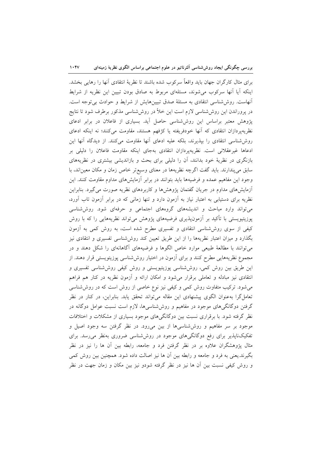براي مثال كارگران جهان بايد واقعاً سركوب شده باشند تا نظريهٔ انتقادي آنها را رهايي بخشد. اینکه آیا آنها سرکوب می شوند، مسئلهای مربوط به صادق بودن تبیین این نظریه از شرایط أنهاست. روششناسی انتقادی به مسئلهٔ صدق تبیینهایش از شرایط و حوادث بیتوجه است. در پروراندن این روششناسی لازم است این خلأ در روششناسی مذکور برطرف شود تا نتایج پژوهش معتبر براساس این روششناسی حاصل آید. بسیاری از فاعلان در برابر ادعای نظریهپردازان انتقادی که آنها خودفریفته یا کژفهم هستند، مقاومت میکنند؛ نه اینکه ادعای روششناسی انتقادی را بیذیرند، بلکه علیه ادعای آنها مقاومت میکنند. از دیدگاه آنها این ادعاها غیرعقلانی است. نظریهپردازان انتقادی بهجای اینکه مقاومت فاعلان را دلیلی بر بازنگری در نظریهٔ خود بدانند، آن را دلیلی برای بحث و بازاندیشی بیشتری در نظریههای سابق می پندارند. باید گفت اگرچه نظریهها در معنای وسیع تر خاص زمان و مکان معین اند، با وجود این مفاهیم عمده و فرضیهها باید بتوانند در برابر آزمایشهای مداوم مقاومت کنند. این آزمایشهای مداوم در جریان گفتمان پژوهشها و کاربردهای نظریه صورت میگیرد. بنابراین نظریه برای دستیابی به اعتبار نیاز به آزمون دارد و تنها زمانی که در برابر آزمون تاب آورد، می تواند وارد مباحث و اندیشههای گروههای اجتماعی و حرفهای شود. روششناسی پوزیتیویستی با تأکید بر أزمونپذیری فرضیههای پژوهش میتواند نظریههایی را که با روش کیفی از سوی روششناسی انتقادی و تفسیری مطرح شده است، به روش کمی به آزمون بگذارد و میزان اعتبار نظریهها را از این طریق تعیین کند روششناسی تفسیری و انتقادی نیز میتوانند با مطالعهٔ طبیعی موارد خاص الگوها و فرضیههای آگاهانهای را شکل دهند و در مجموع نظریههایی مطرح کنند و برای آزمون در اختیار روششناسی پوزیتویستی قرار دهند. از این طریق بین روش کمی، روششناسی پوزیتیویستی و روش کیفی روششناسی تفسیری و انتقادی نیز مبادله و تعاملی برقرار میشود و امکان ارائه و آزمون نظریه در کنار هم فراهم میشود. ترکیب متفاوت روش کمی و کیفی نیز نوع خاصی از روش است که در روششناسی تعاملگرا بهعنوان الگوی پیشنهادی این مقاله میتواند تحقق یابد. بنابراین، در کنار در نظر گرفتن دوگانگیهای موجود در مفاهیم و روششناسیها، لازم است نسبت عوامل دوگانه در نظر گرفته شود. با برقراری نسبت بین دوگانگیهای موجود بسیاری از مشکلات و اختلافات موجود بر سر مفاهیم و روششناسیها از بین می رود. در نظر گرفتن سه وجود اصیل و تفکیکناپذیر برای رفع دوگانگیهای موجود در روششناسی ضروری بهنظر می رسد. برای مثال یژوهشگران علاوه بر در نظر گرفتن فرد و جامعه، رابطه بین آن ها را نیز در نظر بگیرند.یعنی به فرد و جامعه و رابطه بین آن ها نیز اصالت داده شود. همچنین بین روش کمی و روش کیفی نسبت بین آن ها نیز در نظر گرفته شودو نیز بین مکان و زمان جهت در نظر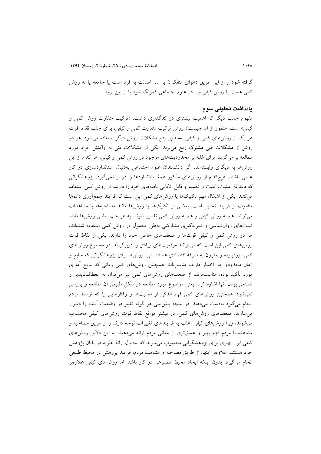گرفته شود و از این طریق دعوای متفکران بر سر اصالت به فرد است یا جامعه یا به روش کمی هست یا روش کیفی و… در علوم اجتماعی کمرنگ شود یا از بین برود.

#### يادداشت تحليلى سوم

مفهوم جالب دیگر که اهمیت بیشتری در کدگذاری داشت، «ترکیب متفاوت روش کمی و کیفی» است. منظور از آن چیست؟ روش ترکیب متفاوت کمی و کیفی، برای جلب نقاط قوت هر یک از روش،های کمی و کیفی بهمنظور رفع مشکلات روش دیگر استفاده میشود. هر دو روش از مشکلات فنی مشترک رنج میبرند. یکی از مشکلات فنی به واکنش افراد مورد مطالعه بر میگردد. برای غلبه بر محدودیتهای موجود در روش کمی و کیفی، هر کدام از این روشها به دیگری وابستهاند. اگر دانشمندان علوم اجتماعی بهدنبال استانداردسازی در کار علمی باشند، هیچکدام از روشهای مذکور همهٔ استانداردها را در بر نمی گیرد. پژوهشگرانی که دغدغهٔ عینیت، کلیت و تعمیم و قابل اتکایی یافتههای خود را دارند، از روش کمی استفاده میکنند. یکی از اشکال مهم تکنیکها یا روشهای کمی این است که فرایند جمع آوری دادهها متفاوت از فرایند تحلیل است. بعضی از تکنیکها یا روشها مانند مصاحبهها یا مشاهدات می توانند هم به روش کیفی و هم به روش کمی تفسیر شوند. به هر حال بعضی روش ها مانند تستهای روانشناسی و نمونهگیری مشارکتی بهطور معمول در روش کمی استفاده شدهاند. هر دو روش کمی و کیفی قوتها و ضعفهای خاص خود را دارند. یکی از نقاط قوت روشهای کمی این است که می توانند موقعیتهای زیادی را دربرگیرند. در مجموع روشهای کمی، زودبازده و مقرون به صرفهٔ اقتصادی هستند. این روشها برای پژوهشگرانی که منابع و زمان محدودی در اختیار دارند، مناسباند. همچنین روشهای کمی زمانی که نتایج آماری مورد تأکید بوده، مناسبترند. از ضعفهای روشهای کمی نیز میتوان به انعطافنایذیر و تصنعی بودن آنها اشاره کرد؛ یعنی موضوع مورد مطالعه در شکل طبیعی اّن مطالعه و بررسی نمی شود. همچنین روشهای کمی فهم اندکی از فعالیتها و رفتارهایی را که توسط مردم انجام میگیرد بهدست میدهند. در نتیجه پیش بینی هر گونه تغییر در وضعیت آینده را دشوار می سازند. ضعفهای روشهای کمی، در بیشتر مواقع نقاط قوت روشهای کیفی محسوب می شوند، زیرا روش های کیفی اغلب به فرایندهای تغییرات توجه دارند و از طریق مصاحبه و مشاهده با مردم فهم بهتر و عمیقتری از معانی مردم ارائه میدهند. به این دلایل روشهای کیفی ابزار بهتری برای پژوهشگرانی محسوب می شوند که بهدنبال ارائهٔ نظریه در پایان پژوهش خود هستند. علاوهبر اینها، از طریق مصاحبه و مشاهدهٔ مردم، فرایند یژوهش در محیط طبیعی انجام می گیرد، بدون اینکه ایجاد محیط مصنوعی در کار باشد. اما روش های کیفی علاوهبر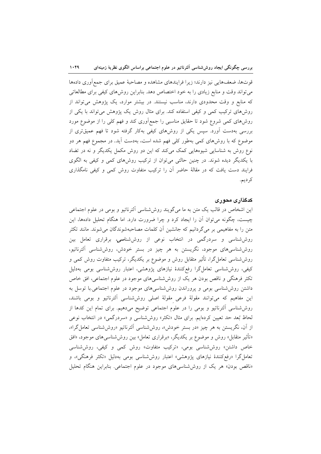قوتها، ضعفهایی نیز دارند؛ زیرا فرایندهای مشاهده و مصاحبهٔ عمیق برای جمع[وری دادهها می تواند وقت و منابع زیادی را به خود اختصاص دهد. بنابراین روش۵مای کیفی برای مطالعاتی که منابع و وقت محدودی دارند، مناسب نیستند. در بیشتر موارد، یک پژوهش میتواند از روشهای ترکیب کمی و کیفی استفاده کند. برای مثال روش یک پژوهش میتواند با یکی از روشهای کمی شروع شود تا حقایق مناسبی را جمع[وری کند و فهم کلی را از موضوع مورد بررسی بهدست آورد. سپس یکی از روشهای کیفی بهکار گرفته شود تا فهم عمیقتری از موضوع که با روشهای کمی بهطور کلی فهم شده است، بهدست آید. در مجموع فهم هر دو نوع روش به شناسایی شیوههایی کمک میکند که این دو روش مکمل یکدیگر و نه در تضاد با یکدیگر دیده شوند. در چنین حالتی میتوان از ترکیب روشهای کمی و کیفی به الگوی فرایند دست یافت که در مقالهٔ حاضر آن را ترکیب متفاوت روش کمی و کیفی نامگذاری كر ديم.

## کدگذاری محوری

این اشخاص در قالب یک متن به ما میگویند روششناسی الترناتیو و بومی در علوم اجتماعی چیست، چگونه میتوان أن را ایجاد کرد و چرا ضرورت دارد. اما هنگام تحلیل دادهها، این متن را به مفاهیمی بر میگردانیم که جانشین آن کلمات مصاحبهشوندگان میشوند. مانند تکثر روششناسی و سردرگمی در انتخاب نوعی از روششناس*ی،* برقراری تعامل بین روششناسیهای موجود، نگریستن به هر چیز در بستر خودش، روششناسی آلترناتیو، روششناسی تعاملگرا، تأثیر متقابل روش و موضوع بر یکدیگر، ترکیب متفاوت روش کمی و کیفی، روششناسی تعاملگرا رفعکنندهٔ نیازهای پژوهشی، اعتبار روششناسی بومی بهدلیل تکثر فرهنگی و ناقص بودن هر یک از روششناسیهای موجود در علوم اجتماعی، افق خاص داشتن روششناسی بومی و پروراندن روششناسی های موجود در علوم اجتماعی با توسل به این مفاهیم که میتوانند مقولهٔ فرعی مقولهٔ اصلی روششناسی آلترناتیو و بومی باشند، روششناسی آلترناتیو و بومی را در علوم اجتماعی توضیح میدهیم. برای تمام این کدها از لحاظ بُعد حد تعیین کردهایم. برای مثال «تکثر» روششناسی و «سردرگمی» در انتخاب نوعی از آن، نگریستن به هر چیز «در بستر خودش»، روششناسی اَلترناتیو «روششناسی تعامل گرا»، «تأثیر متقابل» روش و موضوع بر یکدیگر، «برقراری تعامل» بین روششناسیهای موجود، «افق خاص داشتن» روش شناسی بومی، «ترکیب متفاوت» روش کمی و کیفی، روش شناسی تعامل گرا «رفع کنندهٔ نیازهای پژوهشی» اعتبار روششناسی بومی بهدلیل «تکثر فرهنگی»، و «ناقص بودن» هر یک از روششناسیهای موجود در علوم اجتماعی. بنابراین هنگام تحلیل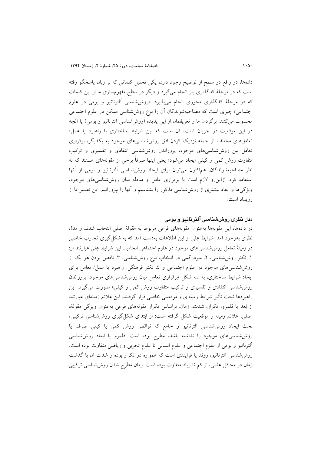دادهها، در واقع دو سطح از توضیح وجود دارد؛ یکی تحلیل کلماتی که بر زبان پاسخگو رفته است که در مرحلهٔ کدگذاری باز انجام میگیرد و دیگر در سطح مفهومسازی ما از این کلمات که در مرحلهٔ کدگذاری محوری انجام میپذیرد. «روششناسی آلترناتیو و بومی در علوم اجتماعی» چیزی است که مصاحبهشوندگان آن را نوع روششناسی ممکن در علوم اجتماعی محسوب مي كنند. برگردان ما و تعريفمان از اين پديده (روششناسي آلترناتيو و بومي) يا آنچه در این موقعیت در جریان است، آن است که این شرایط ساختاری با راهبرد یا عمل/ تعاملهای مختلف از جمله نزدیک کردن افق روششناسیهای موجود به یکدیگر، برقراری تعامل بین روششناسیهای موجود، پروراندن روششناسی انتقادی و تفسیری و ترکیب متفاوت روش کمی و کیفی ایجاد میشود؛ یعنی اینها صرفاً برخی از مقولههای هستند که به نظر مصاحبهشوندگان، هماكنون مى توان براى ايجاد روششناسى الترناتيو و بومى از آنها استفاده کرد. ازاین رو لازم است با برقراری عامل و مبادله میان روش شناسی های موجود، ویژگیها و ابعاد بیشتری از روششناسی مذکور را بشناسیم و آنها را بپرورانیم. این تفسیر ما از رويداد است.

#### مدل نظری روششناسی آلترناتیو و بومی

در دادهها، این مقولهها بهعنوان مقولههای فرعی مربوط به مقولهٔ اصلی انتخاب شدند و مدل نظری بهوجود آمد. شرایط عِلی از این اطلاعات بهدست آمد که به شکل گیری تجارب خاصی در زمینهٔ تعامل روششناسیهای موجود در علوم اجتماعی انجامید. این شرایط عِلی عبارتند از: ١. تکثر روششناسی، ٢. سردرگمی در انتخاب نوع روششناسی، ٣. ناقص بودن هر یک از روششناسیهای موجود در علوم اجتماعی و ٤. تکثر فرهنگی. راهبرد یا عمل/ تعامل برای ایجاد شرایط ساختاری، به سه شکل «برقراری تعامل میان روششناسی های موجود، پروراندن روششناسی انتقادی و تفسیری و ترکیب متفاوت روش کمی و کیفی» صورت می گیرد. این راهبردها تحت تأثير شرايط زمينهاى و موقعيتى خاصى قرار گرفتند. اين علائم زمينهاى عبارتند از بُعد یا قلمرو، تکرار، شدت، زمان براساس تکرار مقولههای فرعی بهعنوان ویژگی مقولهٔه اصلی، علائم زمینه و موقعیت شکل گرفته است: از ابتدای شکل گیری روششناسی ترکیبی، بحث ایجاد روششناسی اَلترناتیو و جامع که نواقص روش کمی یا کیفی صرف یا روششناسی های موجود را نداشته باشد، مطرح بوده است. قلمرو یا ابعاد روششناسی آلترناتيو و بومي از علوم اجتماعي و علوم انساني تا علوم تجربي و رياضي متفاوت بوده است. روششناسی آلترناتیو، روند یا فرایندی است که همواره در تکرار بوده و شدت آن با گذشت زمان در محافل علمی، از کم تا زیاد متفاوت بوده است. زمان مطرح شدن روششناسی ترکیبی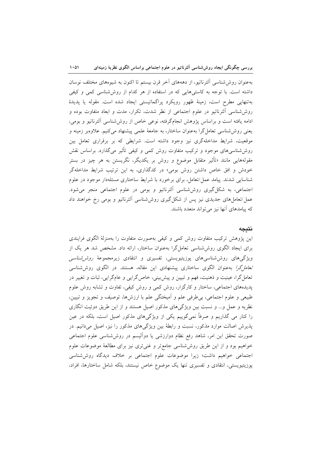بهعنوان روش(شناسی الترناتیو، از دهههای آخر قرن بیستم تا اکنون به شیوههای مختلف نوسان داشته است. با توجه به کاستیهایی که در استفاده از هر کدام از روششناسی کمی و کیفی بهتنهایی مطرح است، زمینهٔ ظهور رویکرد پراگماتیستی ایجاد شده است. مقوله یا پدیدهٔ روششناسی آلترناتیو در علوم اجتماعی از نظر شدت، تکرار، مدت و ابعاد متفاوت بوده و ادامه یافته است و براساس پژوهش انجامگرفته، نوعی خاص از روششناسی الترناتیو و بومی، یعنی روششناسی تعامل گرا بهعنوان ساختار، به جامعهٔ علمی پیشنهاد می کنیم. علاوهبر زمینه و موقعیت، شرایط مداخلهگری نیز وجود داشته است. شرایطی که بر برقراری تعامل بین روششناسیهای موجود و ترکیب متفاوت روش کمی و کیفی تأثیر میگذارد. براساس نقش مقولههایی مانند «تأثیر متقابل موضوع و روش بر یکدیگر، نگریستن به هر چیز در بستر خودش و افق خاص داشتن روش بومي» در كدگذارى، به اين ترتيب شرايط مداخلهگر شناسایی شدند. پیامد عمل/تعامل، برای برخورد با شرایط ساختاری مسئلهدار موجود در علوم اجتماعی، به شکل گیری روششناسی اَلترناتیو و بومی در علوم اجتماعی منجر میشود. عمل/تعامل های جدیدی نیز پس از شکل گیری روششناسی آلترناتیو و بومی رخ خواهند داد که پیامدهای آنها نیز میتواند متعدد باشند.

#### نتىجە

این پژوهش ترکیب متفاوت روش کمی و کیفی بهصورت متفاوت را بهمنزلهٔ الگوی فرایندی برای ایجاد الگوی روششناسی تعامل گرا بهعنوان ساختار، ارائه داد. مشخص شد هر یک از ویژگیهای روششناسیهای پوزیتیویستی، تفسیری و انتقادی زیرمجموعهٔ *روش شناسی* تعا*مل گرا* به عنوان الگوی ساختاری پیشنهادی این مقاله، هستند. در الگوی روش شناسی تعامل گرا، عینیت و ذهنیت، فهم و تبیین و پیش بینی، خاص گرایی و عامگرایی، ثبات و تغییر در پدیدههای اجتماعی، ساختار و کارگزار، روش کمی و روش کیفی، تفاوت و تشابه روش علوم طبیعی و علوم اجتماعی، بی طرفی علم و اَمیختگی علم با ارزشها، توصیف و تجویز و تبیین، نظریه و عمل و… و نسبت بین ویژگیهای مذکور اصیل هستند و از این طریق دوئیت انگاری را کنار می گذاریم و صرفاً نمیگوییم یکی از ویژگیهای مذکور اصیل است، بلکه در عین پذیرش اصالت موارد مذکور، نسبت و رابطهٔ بین ویژگیهای مذکور را نیز، اصیل میدانیم. در صورت تحقق این امر، شاهد رفع نظام دوارزشی یا دوالیسم در روششناسی علوم اجتماعی خواهیم بود و از این طریق روش شناسی جامع تر و غنی تری نیز برای مطالعهٔ موضوعات علوم اجتماعی خواهیم داشت؛ زیرا موضوعات علوم اجتماعی بر خلاف دیدگاه روششناسی پوزیتیویستی، انتقادی و تفسیری تنها یک موضوع خاص نیستند، بلکه شامل ساختارها، افراد،